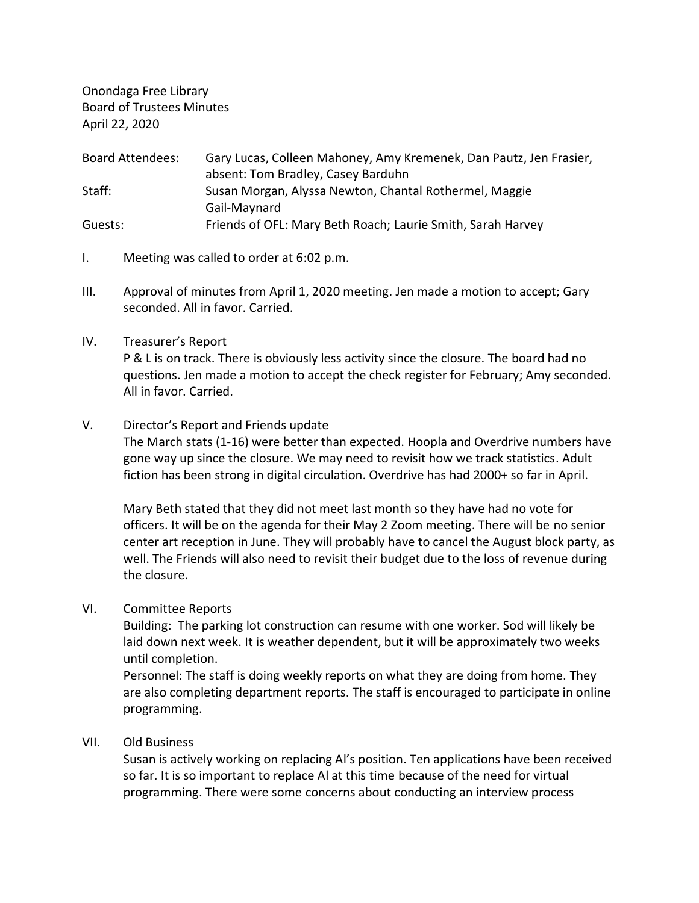Onondaga Free Library Board of Trustees Minutes April 22, 2020

| <b>Board Attendees:</b> | Gary Lucas, Colleen Mahoney, Amy Kremenek, Dan Pautz, Jen Frasier, |
|-------------------------|--------------------------------------------------------------------|
|                         | absent: Tom Bradley, Casey Barduhn                                 |
| Staff:                  | Susan Morgan, Alyssa Newton, Chantal Rothermel, Maggie             |
|                         | Gail-Maynard                                                       |
| Guests:                 | Friends of OFL: Mary Beth Roach; Laurie Smith, Sarah Harvey        |

- I. Meeting was called to order at 6:02 p.m.
- III. Approval of minutes from April 1, 2020 meeting. Jen made a motion to accept; Gary seconded. All in favor. Carried.

#### IV. Treasurer's Report

P & L is on track. There is obviously less activity since the closure. The board had no questions. Jen made a motion to accept the check register for February; Amy seconded. All in favor. Carried.

# V. Director's Report and Friends update

The March stats (1-16) were better than expected. Hoopla and Overdrive numbers have gone way up since the closure. We may need to revisit how we track statistics. Adult fiction has been strong in digital circulation. Overdrive has had 2000+ so far in April.

Mary Beth stated that they did not meet last month so they have had no vote for officers. It will be on the agenda for their May 2 Zoom meeting. There will be no senior center art reception in June. They will probably have to cancel the August block party, as well. The Friends will also need to revisit their budget due to the loss of revenue during the closure.

# VI. Committee Reports

Building: The parking lot construction can resume with one worker. Sod will likely be laid down next week. It is weather dependent, but it will be approximately two weeks until completion.

Personnel: The staff is doing weekly reports on what they are doing from home. They are also completing department reports. The staff is encouraged to participate in online programming.

# VII. Old Business

Susan is actively working on replacing Al's position. Ten applications have been received so far. It is so important to replace Al at this time because of the need for virtual programming. There were some concerns about conducting an interview process